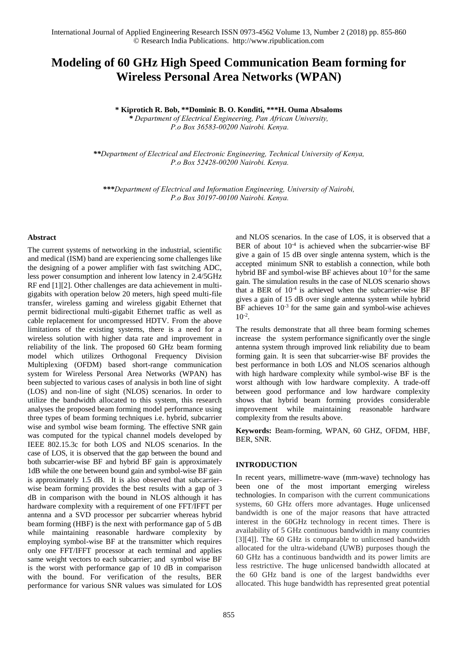# **Modeling of 60 GHz High Speed Communication Beam forming for Wireless Personal Area Networks (WPAN)**

**\* Kiprotich R. Bob, \*\*Dominic B. O. Konditi, \*\*\*H. Ouma Absaloms**

*\* Department of Electrical Engineering, Pan African University, P.o Box 36583-00200 Nairobi. Kenya.* 

*\*\*Department of Electrical and Electronic Engineering, Technical University of Kenya, P.o Box 52428-00200 Nairobi. Kenya.*

*\*\*\*Department of Electrical and Information Engineering, University of Nairobi, P.o Box 30197-00100 Nairobi. Kenya.* 

## **Abstract**

The current systems of networking in the industrial, scientific and medical (ISM) band are experiencing some challenges like the designing of a power amplifier with fast switching ADC, less power consumption and inherent low latency in 2.4/5GHz RF end [1][2]. Other challenges are data achievement in multigigabits with operation below 20 meters, high speed multi-file transfer, wireless gaming and wireless gigabit Ethernet that permit bidirectional multi-gigabit Ethernet traffic as well as cable replacement for uncompressed HDTV. From the above limitations of the existing systems, there is a need for a wireless solution with higher data rate and improvement in reliability of the link. The proposed 60 GHz beam forming model which utilizes Orthogonal Frequency Division Multiplexing (OFDM) based short-range communication system for Wireless Personal Area Networks (WPAN) has been subjected to various cases of analysis in both line of sight (LOS) and non-line of sight (NLOS) scenarios. In order to utilize the bandwidth allocated to this system, this research analyses the proposed beam forming model performance using three types of beam forming techniques i.e. hybrid, subcarrier wise and symbol wise beam forming. The effective SNR gain was computed for the typical channel models developed by IEEE 802.15.3c for both LOS and NLOS scenarios. In the case of LOS, it is observed that the gap between the bound and both subcarrier-wise BF and hybrid BF gain is approximately 1dB while the one between bound gain and symbol-wise BF gain is approximately 1.5 dB. It is also observed that subcarrierwise beam forming provides the best results with a gap of 3 dB in comparison with the bound in NLOS although it has hardware complexity with a requirement of one FFT/IFFT per antenna and a SVD processor per subcarrier whereas hybrid beam forming (HBF) is the next with performance gap of 5 dB while maintaining reasonable hardware complexity by employing symbol-wise BF at the transmitter which requires only one FFT/IFFT processor at each terminal and applies same weight vectors to each subcarrier; and symbol wise BF is the worst with performance gap of 10 dB in comparison with the bound. For verification of the results, BER performance for various SNR values was simulated for LOS

and NLOS scenarios. In the case of LOS, it is observed that a BER of about  $10^{-4}$  is achieved when the subcarrier-wise BF give a gain of 15 dB over single antenna system, which is the accepted minimum SNR to establish a connection, while both hybrid BF and symbol-wise BF achieves about  $10^{-3}$  for the same gain. The simulation results in the case of NLOS scenario shows that a BER of  $10^{-4}$  is achieved when the subcarrier-wise BF gives a gain of 15 dB over single antenna system while hybrid BF achieves  $10^{-3}$  for the same gain and symbol-wise achieves  $10^{-2}$ .

The results demonstrate that all three beam forming schemes increase the system performance significantly over the single antenna system through improved link reliability due to beam forming gain. It is seen that subcarrier-wise BF provides the best performance in both LOS and NLOS scenarios although with high hardware complexity while symbol-wise BF is the worst although with low hardware complexity. A trade-off between good performance and low hardware complexity shows that hybrid beam forming provides considerable improvement while maintaining reasonable hardware complexity from the results above.

**Keywords:** Beam-forming, WPAN, 60 GHZ, OFDM, HBF, BER, SNR.

# **INTRODUCTION**

In recent years, millimetre-wave (mm-wave) technology has been one of the most important emerging wireless technologies. In comparison with the current communications systems, 60 GHz offers more advantages. Huge unlicensed bandwidth is one of the major reasons that have attracted interest in the 60GHz technology in recent times. There is availability of 5 GHz continuous bandwidth in many countries [3][4]]. The 60 GHz is comparable to unlicensed bandwidth allocated for the ultra-wideband (UWB) purposes though the 60 GHz has a continuous bandwidth and its power limits are less restrictive. The huge unlicensed bandwidth allocated at the 60 GHz band is one of the largest bandwidths ever allocated. This huge bandwidth has represented great potential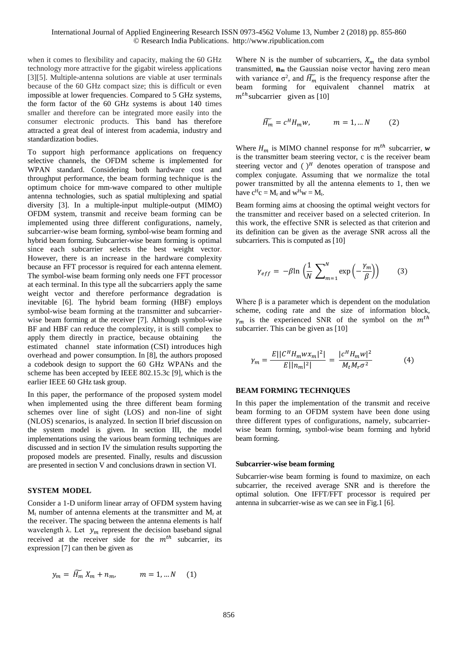when it comes to flexibility and capacity, making the 60 GHz technology more attractive for the gigabit wireless applications [3][5]. Multiple-antenna solutions are viable at user terminals because of the 60 GHz compact size; this is difficult or even impossible at lower frequencies. Compared to 5 GHz systems, the form factor of the 60 GHz systems is about 140 times smaller and therefore can be integrated more easily into the consumer electronic products. This band has therefore attracted a great deal of interest from academia, industry and standardization bodies.

To support high performance applications on frequency selective channels, the OFDM scheme is implemented for WPAN standard. Considering both hardware cost and throughput performance, the beam forming technique is the optimum choice for mm-wave compared to other multiple antenna technologies, such as spatial multiplexing and spatial diversity [3]. In a multiple-input multiple-output (MIMO) OFDM system, transmit and receive beam forming can be implemented using three different configurations, namely, subcarrier-wise beam forming, symbol-wise beam forming and hybrid beam forming. Subcarrier-wise beam forming is optimal since each subcarrier selects the best weight vector. However, there is an increase in the hardware complexity because an FFT processor is required for each antenna element. The symbol-wise beam forming only needs one FFT processor at each terminal. In this type all the subcarriers apply the same weight vector and therefore performance degradation is inevitable [6]. The hybrid beam forming (HBF) employs symbol-wise beam forming at the transmitter and subcarrierwise beam forming at the receiver [7]. Although symbol-wise BF and HBF can reduce the complexity, it is still complex to apply them directly in practice, because obtaining the estimated channel state information (CSI) introduces high overhead and power consumption. In [8], the authors proposed a codebook design to support the 60 GHz WPANs and the scheme has been accepted by IEEE 802.15.3c [9], which is the earlier IEEE 60 GHz task group.

In this paper, the performance of the proposed system model when implemented using the three different beam forming schemes over line of sight (LOS) and non-line of sight (NLOS) scenarios, is analyzed. In section II brief discussion on the system model is given. In section III, the model implementations using the various beam forming techniques are discussed and in section IV the simulation results supporting the proposed models are presented. Finally, results and discussion are presented in section V and conclusions drawn in section VI.

#### **SYSTEM MODEL**

Consider a 1-D uniform linear array of OFDM system having  $M_t$  number of antenna elements at the transmitter and  $M_r$  at the receiver. The spacing between the antenna elements is half wavelength  $\lambda$ . Let  $y_m$  represent the decision baseband signal received at the receiver side for the  $m^{th}$  subcarrier, its expression [7] can then be given as

$$
y_m = \widetilde{H_m} X_m + n_m, \qquad m = 1, \dots N \quad (1)
$$

Where N is the number of subcarriers,  $X_m$  the data symbol transmitted, **nm** the Gaussian noise vector having zero mean with variance  $\sigma^2$ , and  $\widetilde{H_m}$  is the frequency response after the beam forming for equivalent channel matrix at  $m<sup>th</sup>$ subcarrier given as [10]

$$
\widetilde{H_m} = c^H H_m w, \qquad m = 1, \dots N \qquad (2)
$$

Where  $H_m$  is MIMO channel response for  $m^{th}$  subcarrier, w is the transmitter beam steering vector, c is the receiver beam steering vector and  $()$ <sup>*H*</sup> denotes operation of transpose and complex conjugate. Assuming that we normalize the total power transmitted by all the antenna elements to 1, then we have  $c^{H}c = M_r$  and  $w^{H}w = M_t$ .

Beam forming aims at choosing the optimal weight vectors for the transmitter and receiver based on a selected criterion. In this work, the effective SNR is selected as that criterion and its definition can be given as the average SNR across all the subcarriers. This is computed as [10]

$$
\gamma_{eff} = -\beta \ln \left( \frac{1}{N} \sum_{m=1}^{N} \exp \left( -\frac{\gamma_m}{\beta} \right) \right) \tag{3}
$$

Where  $\beta$  is a parameter which is dependent on the modulation scheme, coding rate and the size of information block,  $\gamma_m$  is the experienced SNR of the symbol on the  $m^{th}$ subcarrier. This can be given as [10]

$$
\gamma_m = \frac{E||C^H H_m w x_m|^2|}{E||n_m|^2|} = \frac{|c^H H_m w|^2}{M_t M_r \sigma^2} \tag{4}
$$

## **BEAM FORMING TECHNIQUES**

In this paper the implementation of the transmit and receive beam forming to an OFDM system have been done using three different types of configurations, namely, subcarrierwise beam forming, symbol-wise beam forming and hybrid beam forming.

#### **Subcarrier-wise beam forming**

Subcarrier-wise beam forming is found to maximize, on each subcarrier, the received average SNR and is therefore the optimal solution. One IFFT/FFT processor is required per antenna in subcarrier-wise as we can see in Fig.1 [6].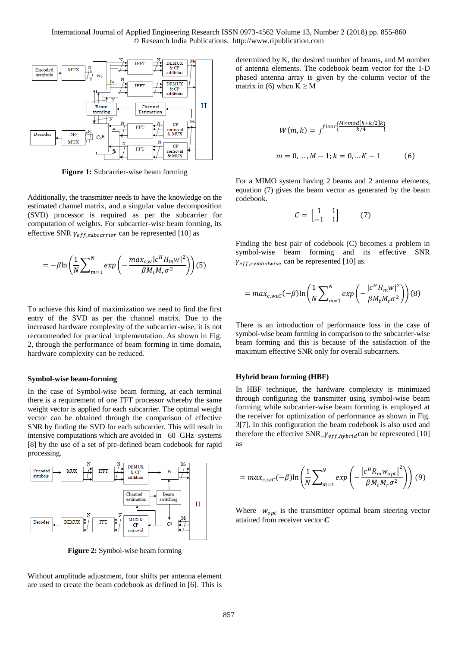

**Figure 1:** Subcarrier-wise beam forming

Additionally, the transmitter needs to have the knowledge on the estimated channel matrix, and a singular value decomposition (SVD) processor is required as per the subcarrier for computation of weights. For subcarrier-wise beam forming, its effective SNR  $\gamma_{eff,subcarrier}$  can be represented [10] as

$$
= -\beta \ln \left( \frac{1}{N} \sum_{m=1}^{N} exp \left( -\frac{max_{c,w} |c^H H_m w|^2}{\beta M_t M_r \sigma^2} \right) \right) (5)
$$

To achieve this kind of maximization we need to find the first entry of the SVD as per the channel matrix. Due to the increased hardware complexity of the subcarrier-wise, it is not recommended for practical implementation. As shown in Fig. 2, through the performance of beam forming in time domain, hardware complexity can be reduced.

#### **Symbol-wise beam-forming**

In the case of Symbol-wise beam forming, at each terminal there is a requirement of one FFT processor whereby the same weight vector is applied for each subcarrier. The optimal weight vector can be obtained through the comparison of effective SNR by finding the SVD for each subcarrier. This will result in intensive computations which are avoided in 60 GHz systems [8] by the use of a set of pre-defined beam codebook for rapid processing.



**Figure 2:** Symbol-wise beam forming

Without amplitude adjustment, four shifts per antenna element are used to create the beam codebook as defined in [6]. This is

determined by K, the desired number of beams, and M number of antenna elements. The codebook beam vector for the 1-D phased antenna array is given by the column vector of the matrix in (6) when  $K \geq M$ 

$$
W(m, k) = j^{floor\left\{\frac{M \times mod[k+k/2]k}{k/4}\right\}}
$$
  

$$
m = 0, ..., M - 1; k = 0, ... K - 1
$$
 (6)

For a MIMO system having 2 beams and 2 antenna elements, equation (7) gives the beam vector as generated by the beam codebook.

$$
C = \begin{bmatrix} 1 & 1 \\ -1 & 1 \end{bmatrix} \tag{7}
$$

Finding the best pair of codebook (C) becomes a problem in symbol-wise beam forming and its effective SNR  $\gamma_{eff,symbolwise}$  can be represented [10] as.

$$
= max_{c, w \in C} (-\beta) \ln \left( \frac{1}{N} \sum_{m=1}^{N} exp \left( - \frac{|c^H H_m w|^2}{\beta M_t M_r \sigma^2} \right) \right) (8)
$$

There is an introduction of performance loss in the case of symbol-wise beam forming in comparison to the subcarrier-wise beam forming and this is because of the satisfaction of the maximum effective SNR only for overall subcarriers.

#### **Hybrid beam forming (HBF)**

In HBF technique, the hardware complexity is minimized through configuring the transmitter using symbol-wise beam forming while subcarrier-wise beam forming is employed at the receiver for optimization of performance as shown in Fig. 3[7]. In this configuration the beam codebook is also used and therefore the effective  $SNR_{\textit{--}{\gamma_{eff,h}ybrid}}$ can be represented [10] as

$$
= max_{c, c\epsilon C} (-\beta) \ln \left( \frac{1}{N} \sum_{m=1}^{N} exp \left( -\frac{\left| c^{H} R_{m} w_{opt} \right|^{2}}{\beta M_{t} M_{r} \sigma^{2}} \right) \right) (9)
$$

Where  $w_{\text{ont}}$  is the transmitter optimal beam steering vector attained from receiver vector *C*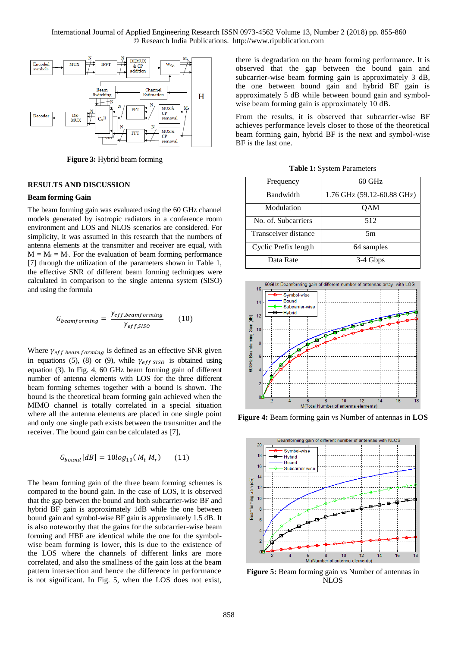

**Figure 3:** Hybrid beam forming

#### **RESULTS AND DISCUSSION**

#### **Beam forming Gain**

The beam forming gain was evaluated using the 60 GHz channel models generated by isotropic radiators in a conference room environment and LOS and NLOS scenarios are considered. For simplicity, it was assumed in this research that the numbers of antenna elements at the transmitter and receiver are equal, with  $M = M_t = M_r$ . For the evaluation of beam forming performance [7] through the utilization of the parameters shown in Table 1, the effective SNR of different beam forming techniques were calculated in comparison to the single antenna system (SISO) and using the formula

$$
G_{beamforming} = \frac{\gamma_{eff,beamforming}}{\gamma_{eff,SISO}} \tag{10}
$$

Where  $\gamma_{eff\ beam\ forming}$  is defined as an effective SNR given in equations (5), (8) or (9), while  $\gamma_{eff \, SISO}$  is obtained using equation (3). In Fig. 4, 60 GHz beam forming gain of different number of antenna elements with LOS for the three different beam forming schemes together with a bound is shown. The bound is the theoretical beam forming gain achieved when the MIMO channel is totally correlated in a special situation where all the antenna elements are placed in one single point and only one single path exists between the transmitter and the receiver. The bound gain can be calculated as [7],

$$
G_{bound}[dB] = 10log_{10}(M_t M_r) \qquad (11)
$$

The beam forming gain of the three beam forming schemes is compared to the bound gain. In the case of LOS, it is observed that the gap between the bound and both subcarrier-wise BF and hybrid BF gain is approximately 1dB while the one between bound gain and symbol-wise BF gain is approximately 1.5 dB. It is also noteworthy that the gains for the subcarrier-wise beam forming and HBF are identical while the one for the symbolwise beam forming is lower, this is due to the existence of the LOS where the channels of different links are more correlated, and also the smallness of the gain loss at the beam pattern intersection and hence the difference in performance is not significant. In Fig. 5, when the LOS does not exist,

there is degradation on the beam forming performance. It is observed that the gap between the bound gain and subcarrier-wise beam forming gain is approximately 3 dB, the one between bound gain and hybrid BF gain is approximately 5 dB while between bound gain and symbolwise beam forming gain is approximately 10 dB.

From the results, it is observed that subcarrier-wise BF achieves performance levels closer to those of the theoretical beam forming gain, hybrid BF is the next and symbol-wise BF is the last one.

|  |  |  | <b>Table 1:</b> System Parameters |
|--|--|--|-----------------------------------|
|--|--|--|-----------------------------------|

| Frequency            | $60$ GHz                   |
|----------------------|----------------------------|
| Bandwidth            | 1.76 GHz (59.12-60.88 GHz) |
| Modulation           | QAM                        |
| No. of. Subcarriers  | 512                        |
| Transceiver distance | 5m                         |
| Cyclic Prefix length | 64 samples                 |
| Data Rate            | 3-4 Gbps                   |



**Figure 4:** Beam forming gain vs Number of antennas in **LOS** 



**Figure 5:** Beam forming gain vs Number of antennas in NLOS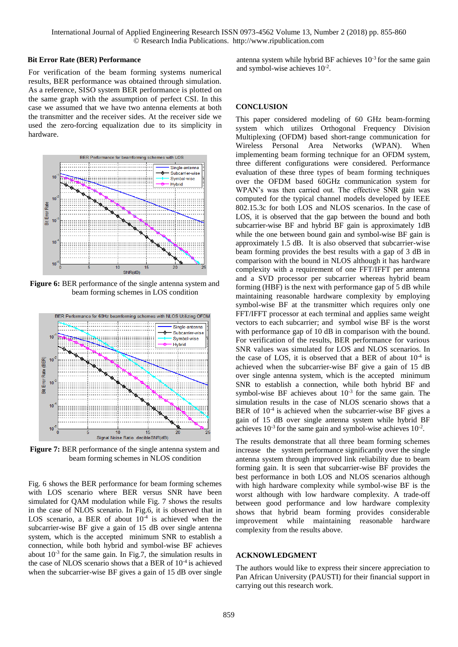#### **Bit Error Rate (BER) Performance**

For verification of the beam forming systems numerical results, BER performance was obtained through simulation. As a reference, SISO system BER performance is plotted on the same graph with the assumption of perfect CSI. In this case we assumed that we have two antenna elements at both the transmitter and the receiver sides. At the receiver side we used the zero-forcing equalization due to its simplicity in hardware.



Figure 6: BER performance of the single antenna system and beam forming schemes in LOS condition



**Figure 7:** BER performance of the single antenna system and beam forming schemes in NLOS condition

Fig. 6 shows the BER performance for beam forming schemes with LOS scenario where BER versus SNR have been simulated for QAM modulation while Fig. 7 shows the results in the case of NLOS scenario. In Fig.6, it is observed that in LOS scenario, a BER of about  $10^{-4}$  is achieved when the subcarrier-wise BF give a gain of 15 dB over single antenna system, which is the accepted minimum SNR to establish a connection, while both hybrid and symbol-wise BF achieves about  $10^{-3}$  for the same gain. In Fig.7, the simulation results in the case of NLOS scenario shows that a BER of 10-4 is achieved when the subcarrier-wise BF gives a gain of 15 dB over single antenna system while hybrid BF achieves  $10^{-3}$  for the same gain and symbol-wise achieves 10-2 .

### **CONCLUSION**

This paper considered modeling of 60 GHz beam-forming system which utilizes Orthogonal Frequency Division Multiplexing (OFDM) based short-range communication for Wireless Personal Area Networks (WPAN). When implementing beam forming technique for an OFDM system, three different configurations were considered. Performance evaluation of these three types of beam forming techniques over the OFDM based 60GHz communication system for WPAN's was then carried out. The effective SNR gain was computed for the typical channel models developed by IEEE 802.15.3c for both LOS and NLOS scenarios. In the case of LOS, it is observed that the gap between the bound and both subcarrier-wise BF and hybrid BF gain is approximately 1dB while the one between bound gain and symbol-wise BF gain is approximately 1.5 dB. It is also observed that subcarrier-wise beam forming provides the best results with a gap of 3 dB in comparison with the bound in NLOS although it has hardware complexity with a requirement of one FFT/IFFT per antenna and a SVD processor per subcarrier whereas hybrid beam forming (HBF) is the next with performance gap of 5 dB while maintaining reasonable hardware complexity by employing symbol-wise BF at the transmitter which requires only one FFT/IFFT processor at each terminal and applies same weight vectors to each subcarrier; and symbol wise BF is the worst with performance gap of 10 dB in comparison with the bound. For verification of the results, BER performance for various SNR values was simulated for LOS and NLOS scenarios. In the case of LOS, it is observed that a BER of about  $10^{-4}$  is achieved when the subcarrier-wise BF give a gain of 15 dB over single antenna system, which is the accepted minimum SNR to establish a connection, while both hybrid BF and symbol-wise BF achieves about  $10^{-3}$  for the same gain. The simulation results in the case of NLOS scenario shows that a BER of  $10^{-4}$  is achieved when the subcarrier-wise BF gives a gain of 15 dB over single antenna system while hybrid BF achieves  $10^{-3}$  for the same gain and symbol-wise achieves  $10^{-2}$ .

The results demonstrate that all three beam forming schemes increase the system performance significantly over the single antenna system through improved link reliability due to beam forming gain. It is seen that subcarrier-wise BF provides the best performance in both LOS and NLOS scenarios although with high hardware complexity while symbol-wise BF is the worst although with low hardware complexity. A trade-off between good performance and low hardware complexity shows that hybrid beam forming provides considerable improvement while maintaining reasonable hardware complexity from the results above.

## **ACKNOWLEDGMENT**

The authors would like to express their sincere appreciation to Pan African University (PAUSTI) for their financial support in carrying out this research work.